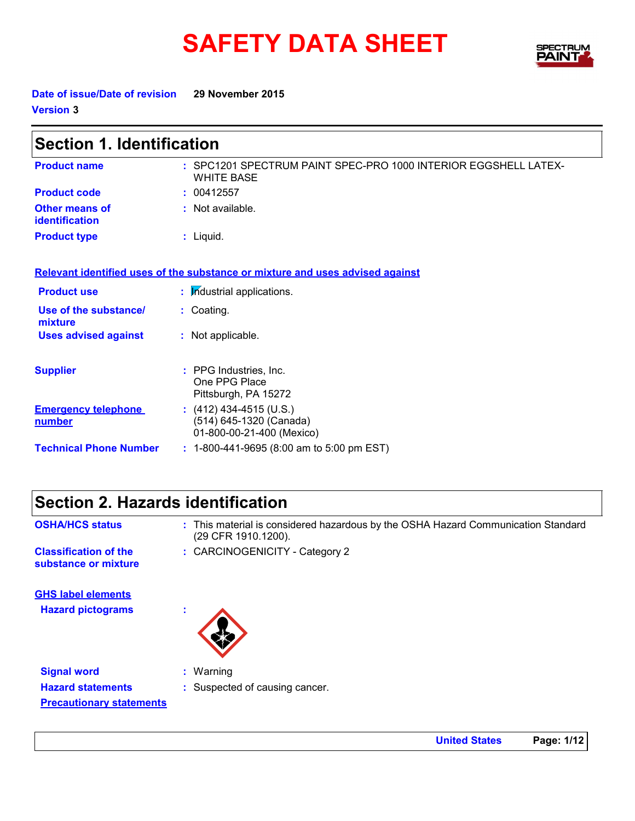# **SAFETY DATA SHEET**



**Date of issue/Date of revision 29 November 2015 Version 3**

| <b>Section 1. Identification</b>            |                                                                                      |  |
|---------------------------------------------|--------------------------------------------------------------------------------------|--|
| <b>Product name</b>                         | : SPC1201 SPECTRUM PAINT SPEC-PRO 1000 INTERIOR EGGSHELL LATEX-<br><b>WHITE BASE</b> |  |
| <b>Product code</b>                         | : 00412557                                                                           |  |
| Other means of<br><i>identification</i>     | : Not available.                                                                     |  |
| <b>Product type</b>                         | $:$ Liquid.                                                                          |  |
|                                             | Relevant identified uses of the substance or mixture and uses advised against        |  |
| <b>Product use</b>                          | : Industrial applications.                                                           |  |
| Use of the substance/<br>mixture            | : Coating.                                                                           |  |
| <b>Uses advised against</b>                 | : Not applicable.                                                                    |  |
| <b>Supplier</b>                             | : PPG Industries, Inc.<br>One PPG Place<br>Pittsburgh, PA 15272                      |  |
| <b>Emergency telephone</b><br><u>number</u> | $(412)$ 434-4515 (U.S.)<br>(514) 645-1320 (Canada)<br>01-800-00-21-400 (Mexico)      |  |
| <b>Technical Phone Number</b>               | $: 1-800-441-9695 (8:00 am to 5:00 pm EST)$                                          |  |

### **Section 2. Hazards identification**

- **OSHA/HCS status :** This material is considered hazardous by the OSHA Hazard Communication Standard (29 CFR 1910.1200).
- **substance or mixture**
- **Classification of the : CARCINOGENICITY Category 2**

**Hazard pictograms : GHS label elements**



**Signal word :** Warning **Hazard statements :** Suspected of causing cancer. **Precautionary statements**

**United States Page: 1/12**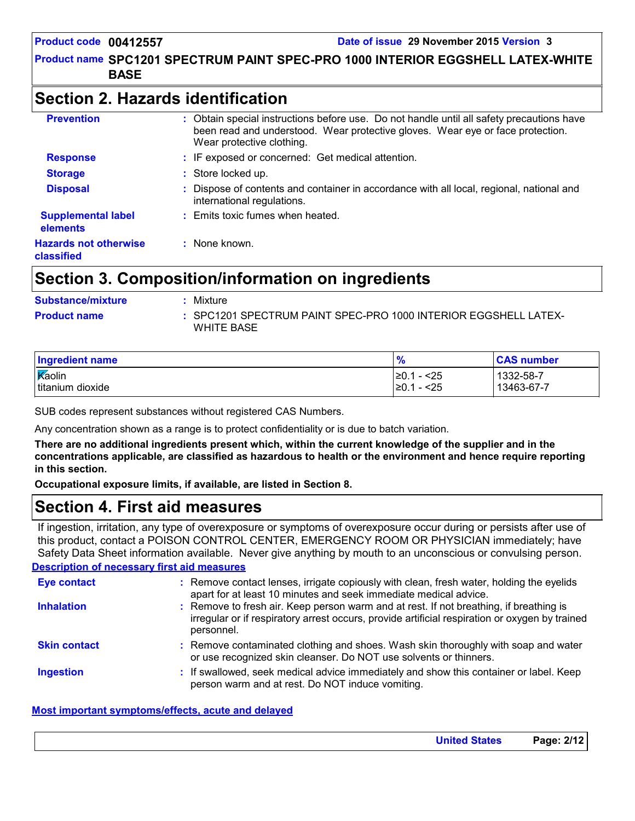#### Product name SPC1201 SPECTRUM PAINT SPEC-PRO 1000 INTERIOR EGGSHELL LATEX-WHITE | **BASE**

### **Section 2. Hazards identification**

| <b>Prevention</b>                          | : Obtain special instructions before use. Do not handle until all safety precautions have<br>been read and understood. Wear protective gloves. Wear eye or face protection.<br>Wear protective clothing. |
|--------------------------------------------|----------------------------------------------------------------------------------------------------------------------------------------------------------------------------------------------------------|
| <b>Response</b>                            | : IF exposed or concerned: Get medical attention.                                                                                                                                                        |
| <b>Storage</b>                             | : Store locked up.                                                                                                                                                                                       |
| <b>Disposal</b>                            | Dispose of contents and container in accordance with all local, regional, national and<br>international regulations.                                                                                     |
| <b>Supplemental label</b><br>elements      | : Emits toxic fumes when heated.                                                                                                                                                                         |
| <b>Hazards not otherwise</b><br>classified | : None known.                                                                                                                                                                                            |

### **Section 3. Composition/information on ingredients**

| <b>Substance/mixture</b> | Mixture                                                                       |
|--------------------------|-------------------------------------------------------------------------------|
| <b>Product name</b>      | : SPC1201 SPECTRUM PAINT SPEC-PRO 1000 INTERIOR EGGSHELL LATEX-<br>WHITE BASE |

| Ingredient name              | 70                               | <b>CAS number</b>       |
|------------------------------|----------------------------------|-------------------------|
| Kaolin<br>I titanium dioxide | !≥0.1<br>- <25<br>- <25<br>l≥0.1 | 1332-58-7<br>13463-67-7 |
|                              |                                  |                         |

SUB codes represent substances without registered CAS Numbers.

Any concentration shown as a range is to protect confidentiality or is due to batch variation.

**There are no additional ingredients present which, within the current knowledge of the supplier and in the concentrations applicable, are classified as hazardous to health or the environment and hence require reporting in this section.**

**Occupational exposure limits, if available, are listed in Section 8.**

### **Section 4. First aid measures**

If ingestion, irritation, any type of overexposure or symptoms of overexposure occur during or persists after use of this product, contact a POISON CONTROL CENTER, EMERGENCY ROOM OR PHYSICIAN immediately; have Safety Data Sheet information available. Never give anything by mouth to an unconscious or convulsing person.

#### **Description of necessary first aid measures**

| <b>Eye contact</b>  | : Remove contact lenses, irrigate copiously with clean, fresh water, holding the eyelids<br>apart for at least 10 minutes and seek immediate medical advice.                                           |
|---------------------|--------------------------------------------------------------------------------------------------------------------------------------------------------------------------------------------------------|
| <b>Inhalation</b>   | : Remove to fresh air. Keep person warm and at rest. If not breathing, if breathing is<br>irregular or if respiratory arrest occurs, provide artificial respiration or oxygen by trained<br>personnel. |
| <b>Skin contact</b> | : Remove contaminated clothing and shoes. Wash skin thoroughly with soap and water<br>or use recognized skin cleanser. Do NOT use solvents or thinners.                                                |
| <b>Ingestion</b>    | : If swallowed, seek medical advice immediately and show this container or label. Keep<br>person warm and at rest. Do NOT induce vomiting.                                                             |

#### **Most important symptoms/effects, acute and delayed**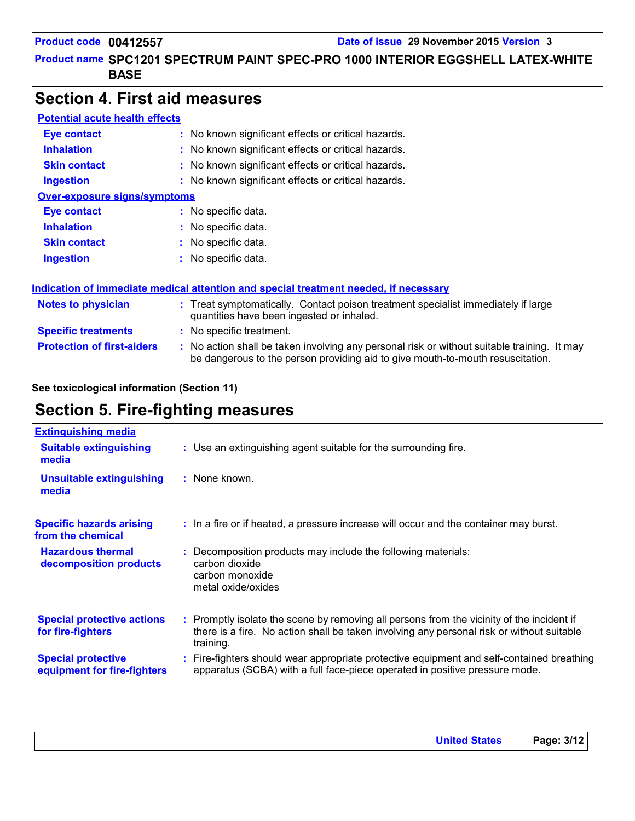#### Product name SPC1201 SPECTRUM PAINT SPEC-PRO 1000 INTERIOR EGGSHELL LATEX-WHITE | **BASE**

### **Section 4. First aid measures**

| <b>Potential acute health effects</b> |                                                                                                                                                                               |
|---------------------------------------|-------------------------------------------------------------------------------------------------------------------------------------------------------------------------------|
| Eye contact                           | : No known significant effects or critical hazards.                                                                                                                           |
| <b>Inhalation</b>                     | : No known significant effects or critical hazards.                                                                                                                           |
| <b>Skin contact</b>                   | : No known significant effects or critical hazards.                                                                                                                           |
| <b>Ingestion</b>                      | : No known significant effects or critical hazards.                                                                                                                           |
| <b>Over-exposure signs/symptoms</b>   |                                                                                                                                                                               |
| Eye contact                           | : No specific data.                                                                                                                                                           |
| <b>Inhalation</b>                     | : No specific data.                                                                                                                                                           |
| <b>Skin contact</b>                   | : No specific data.                                                                                                                                                           |
| <b>Ingestion</b>                      | : No specific data.                                                                                                                                                           |
|                                       | Indication of immediate medical attention and special treatment needed, if necessary                                                                                          |
| <b>Notes to physician</b>             | : Treat symptomatically. Contact poison treatment specialist immediately if large<br>quantities have been ingested or inhaled.                                                |
| <b>Specific treatments</b>            | : No specific treatment.                                                                                                                                                      |
| <b>Protection of first-aiders</b>     | : No action shall be taken involving any personal risk or without suitable training. It may<br>be dangerous to the person providing aid to give mouth-to-mouth resuscitation. |

#### **See toxicological information (Section 11)**

### **Section 5. Fire-fighting measures**

| <b>Extinguishing media</b>                               |                                                                                                                                                                                                     |
|----------------------------------------------------------|-----------------------------------------------------------------------------------------------------------------------------------------------------------------------------------------------------|
| <b>Suitable extinguishing</b><br>media                   | : Use an extinguishing agent suitable for the surrounding fire.                                                                                                                                     |
| Unsuitable extinguishing<br>media                        | : None known.                                                                                                                                                                                       |
| <b>Specific hazards arising</b><br>from the chemical     | : In a fire or if heated, a pressure increase will occur and the container may burst.                                                                                                               |
| <b>Hazardous thermal</b><br>decomposition products       | Decomposition products may include the following materials:<br>carbon dioxide<br>carbon monoxide<br>metal oxide/oxides                                                                              |
| <b>Special protective actions</b><br>for fire-fighters   | : Promptly isolate the scene by removing all persons from the vicinity of the incident if<br>there is a fire. No action shall be taken involving any personal risk or without suitable<br>training. |
| <b>Special protective</b><br>equipment for fire-fighters | : Fire-fighters should wear appropriate protective equipment and self-contained breathing<br>apparatus (SCBA) with a full face-piece operated in positive pressure mode.                            |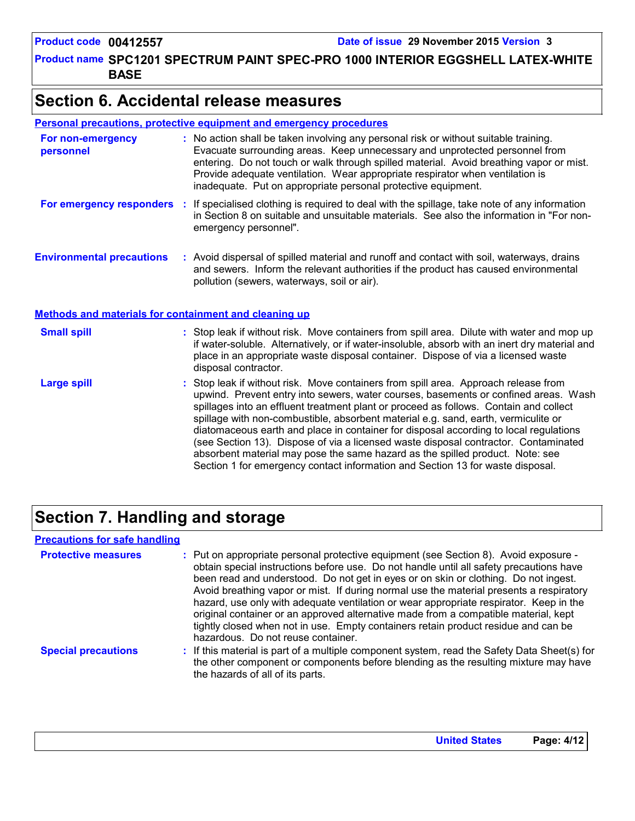Product name SPC1201 SPECTRUM PAINT SPEC-PRO 1000 INTERIOR EGGSHELL LATEX-WHITE | **BASE**

### **Section 6. Accidental release measures**

#### **Personal precautions, protective equipment and emergency procedures**

| For non-emergency<br>personnel                               | : No action shall be taken involving any personal risk or without suitable training.<br>Evacuate surrounding areas. Keep unnecessary and unprotected personnel from<br>entering. Do not touch or walk through spilled material. Avoid breathing vapor or mist.<br>Provide adequate ventilation. Wear appropriate respirator when ventilation is<br>inadequate. Put on appropriate personal protective equipment.                                                                                                                                                                                                                                                                                             |
|--------------------------------------------------------------|--------------------------------------------------------------------------------------------------------------------------------------------------------------------------------------------------------------------------------------------------------------------------------------------------------------------------------------------------------------------------------------------------------------------------------------------------------------------------------------------------------------------------------------------------------------------------------------------------------------------------------------------------------------------------------------------------------------|
| For emergency responders                                     | : If specialised clothing is required to deal with the spillage, take note of any information<br>in Section 8 on suitable and unsuitable materials. See also the information in "For non-<br>emergency personnel".                                                                                                                                                                                                                                                                                                                                                                                                                                                                                           |
| <b>Environmental precautions</b>                             | : Avoid dispersal of spilled material and runoff and contact with soil, waterways, drains<br>and sewers. Inform the relevant authorities if the product has caused environmental<br>pollution (sewers, waterways, soil or air).                                                                                                                                                                                                                                                                                                                                                                                                                                                                              |
| <b>Methods and materials for containment and cleaning up</b> |                                                                                                                                                                                                                                                                                                                                                                                                                                                                                                                                                                                                                                                                                                              |
| <b>Small spill</b>                                           | : Stop leak if without risk. Move containers from spill area. Dilute with water and mop up<br>if water-soluble. Alternatively, or if water-insoluble, absorb with an inert dry material and<br>place in an appropriate waste disposal container. Dispose of via a licensed waste<br>disposal contractor.                                                                                                                                                                                                                                                                                                                                                                                                     |
| <b>Large spill</b>                                           | : Stop leak if without risk. Move containers from spill area. Approach release from<br>upwind. Prevent entry into sewers, water courses, basements or confined areas. Wash<br>spillages into an effluent treatment plant or proceed as follows. Contain and collect<br>spillage with non-combustible, absorbent material e.g. sand, earth, vermiculite or<br>diatomaceous earth and place in container for disposal according to local regulations<br>(see Section 13). Dispose of via a licensed waste disposal contractor. Contaminated<br>absorbent material may pose the same hazard as the spilled product. Note: see<br>Section 1 for emergency contact information and Section 13 for waste disposal. |

### **Section 7. Handling and storage**

#### **Precautions for safe handling**

| <b>Protective measures</b> | : Put on appropriate personal protective equipment (see Section 8). Avoid exposure -<br>obtain special instructions before use. Do not handle until all safety precautions have<br>been read and understood. Do not get in eyes or on skin or clothing. Do not ingest.<br>Avoid breathing vapor or mist. If during normal use the material presents a respiratory<br>hazard, use only with adequate ventilation or wear appropriate respirator. Keep in the<br>original container or an approved alternative made from a compatible material, kept<br>tightly closed when not in use. Empty containers retain product residue and can be<br>hazardous. Do not reuse container. |
|----------------------------|--------------------------------------------------------------------------------------------------------------------------------------------------------------------------------------------------------------------------------------------------------------------------------------------------------------------------------------------------------------------------------------------------------------------------------------------------------------------------------------------------------------------------------------------------------------------------------------------------------------------------------------------------------------------------------|
| <b>Special precautions</b> | : If this material is part of a multiple component system, read the Safety Data Sheet(s) for<br>the other component or components before blending as the resulting mixture may have<br>the hazards of all of its parts.                                                                                                                                                                                                                                                                                                                                                                                                                                                        |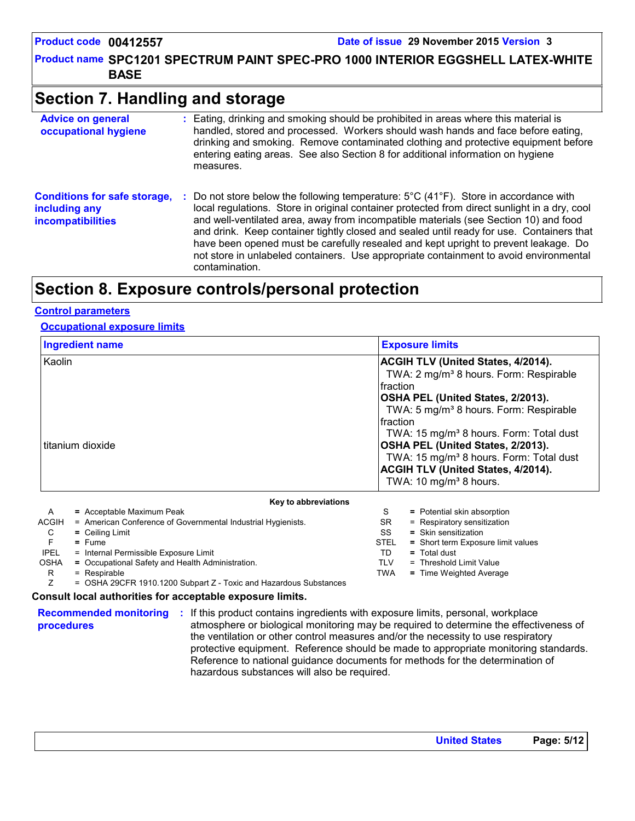Product name SPC1201 SPECTRUM PAINT SPEC-PRO 1000 INTERIOR EGGSHELL LATEX-WHITE | **BASE**

### **Section 7. Handling and storage**

| <b>Advice on general</b><br>occupational hygiene                                 | : Eating, drinking and smoking should be prohibited in areas where this material is<br>handled, stored and processed. Workers should wash hands and face before eating,<br>drinking and smoking. Remove contaminated clothing and protective equipment before<br>entering eating areas. See also Section 8 for additional information on hygiene<br>measures.                                                                                                                                                                                                                                         |
|----------------------------------------------------------------------------------|-------------------------------------------------------------------------------------------------------------------------------------------------------------------------------------------------------------------------------------------------------------------------------------------------------------------------------------------------------------------------------------------------------------------------------------------------------------------------------------------------------------------------------------------------------------------------------------------------------|
| <b>Conditions for safe storage,</b><br>including any<br><b>incompatibilities</b> | Do not store below the following temperature: $5^{\circ}$ C (41 <sup>°</sup> F). Store in accordance with<br>÷.<br>local regulations. Store in original container protected from direct sunlight in a dry, cool<br>and well-ventilated area, away from incompatible materials (see Section 10) and food<br>and drink. Keep container tightly closed and sealed until ready for use. Containers that<br>have been opened must be carefully resealed and kept upright to prevent leakage. Do<br>not store in unlabeled containers. Use appropriate containment to avoid environmental<br>contamination. |

### **Section 8. Exposure controls/personal protection**

#### **Control parameters**

#### **Occupational exposure limits**

|                            | <b>Ingredient name</b>                                       | <b>Exposure limits</b>                                                                                                                                                                                                                                                                                                                                                                                                                       |
|----------------------------|--------------------------------------------------------------|----------------------------------------------------------------------------------------------------------------------------------------------------------------------------------------------------------------------------------------------------------------------------------------------------------------------------------------------------------------------------------------------------------------------------------------------|
| Kaolin<br>titanium dioxide |                                                              | ACGIH TLV (United States, 4/2014).<br>TWA: 2 mg/m <sup>3</sup> 8 hours. Form: Respirable<br>Ifraction<br>OSHA PEL (United States, 2/2013).<br>TWA: 5 mg/m <sup>3</sup> 8 hours. Form: Respirable<br>Ifraction<br>TWA: 15 mg/m <sup>3</sup> 8 hours. Form: Total dust<br>OSHA PEL (United States, 2/2013).<br>TWA: 15 mg/m <sup>3</sup> 8 hours. Form: Total dust<br>ACGIH TLV (United States, 4/2014).<br>TWA: 10 mg/m <sup>3</sup> 8 hours. |
|                            | Key to abbreviations                                         |                                                                                                                                                                                                                                                                                                                                                                                                                                              |
| $\mathsf{A}$               | = Acceptable Maximum Peak                                    | S<br>= Potential skin absorption                                                                                                                                                                                                                                                                                                                                                                                                             |
| ACGIH                      | = American Conference of Governmental Industrial Hygienists. | SR<br>= Respiratory sensitization                                                                                                                                                                                                                                                                                                                                                                                                            |
| C                          | $=$ Ceiling Limit                                            | SS<br>$=$ Skin sensitization                                                                                                                                                                                                                                                                                                                                                                                                                 |
| F                          | $=$ Fume                                                     | <b>STEL</b><br>= Short term Exposure limit values                                                                                                                                                                                                                                                                                                                                                                                            |
| <b>IPEL</b>                | = Internal Permissible Exposure Limit                        | TD<br>= Total dust                                                                                                                                                                                                                                                                                                                                                                                                                           |
| <b>OSHA</b>                | = Occupational Safety and Health Administration.             | TLV<br>= Threshold Limit Value                                                                                                                                                                                                                                                                                                                                                                                                               |

OSHA **=** Occupational Safety and Health Administration.

R = Respirable

Z = OSHA 29CFR 1910.1200 Subpart Z - Toxic and Hazardous Substances

#### **Consult local authorities for acceptable exposure limits.**

```
procedures
```
**Recommended monitoring :** If this product contains ingredients with exposure limits, personal, workplace atmosphere or biological monitoring may be required to determine the effectiveness of the ventilation or other control measures and/or the necessity to use respiratory protective equipment. Reference should be made to appropriate monitoring standards. Reference to national guidance documents for methods for the determination of hazardous substances will also be required.

TWA **=** Time Weighted Average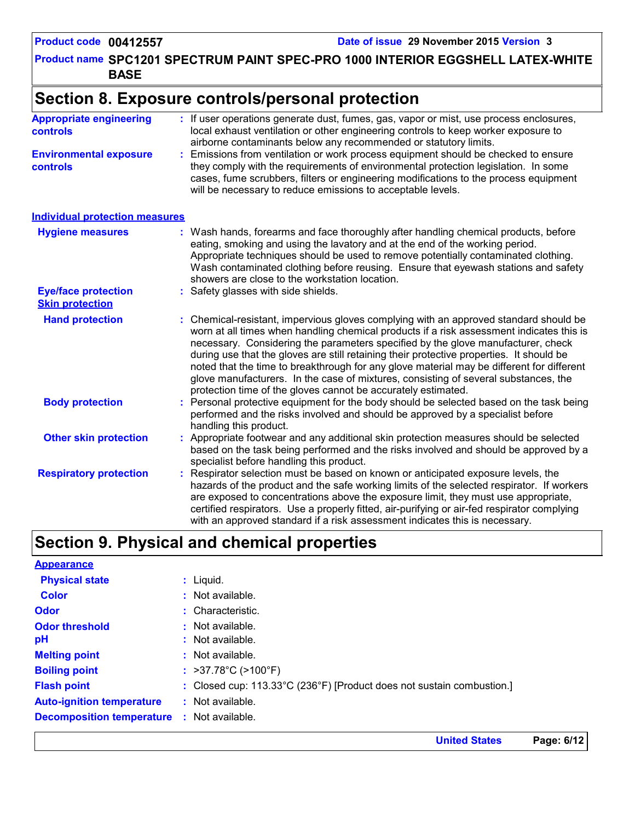Product name SPC1201 SPECTRUM PAINT SPEC-PRO 1000 INTERIOR EGGSHELL LATEX-WHITE | **BASE**

### **Section 8. Exposure controls/personal protection**

| <b>Appropriate engineering</b><br><b>controls</b>    | : If user operations generate dust, fumes, gas, vapor or mist, use process enclosures,<br>local exhaust ventilation or other engineering controls to keep worker exposure to<br>airborne contaminants below any recommended or statutory limits.                                                                                                                                                                                                                                                                                                                                                                       |
|------------------------------------------------------|------------------------------------------------------------------------------------------------------------------------------------------------------------------------------------------------------------------------------------------------------------------------------------------------------------------------------------------------------------------------------------------------------------------------------------------------------------------------------------------------------------------------------------------------------------------------------------------------------------------------|
| <b>Environmental exposure</b><br>controls            | Emissions from ventilation or work process equipment should be checked to ensure<br>they comply with the requirements of environmental protection legislation. In some<br>cases, fume scrubbers, filters or engineering modifications to the process equipment<br>will be necessary to reduce emissions to acceptable levels.                                                                                                                                                                                                                                                                                          |
| <b>Individual protection measures</b>                |                                                                                                                                                                                                                                                                                                                                                                                                                                                                                                                                                                                                                        |
| <b>Hygiene measures</b>                              | Wash hands, forearms and face thoroughly after handling chemical products, before<br>eating, smoking and using the lavatory and at the end of the working period.<br>Appropriate techniques should be used to remove potentially contaminated clothing.<br>Wash contaminated clothing before reusing. Ensure that eyewash stations and safety<br>showers are close to the workstation location.                                                                                                                                                                                                                        |
| <b>Eye/face protection</b><br><b>Skin protection</b> | Safety glasses with side shields.                                                                                                                                                                                                                                                                                                                                                                                                                                                                                                                                                                                      |
| <b>Hand protection</b>                               | : Chemical-resistant, impervious gloves complying with an approved standard should be<br>worn at all times when handling chemical products if a risk assessment indicates this is<br>necessary. Considering the parameters specified by the glove manufacturer, check<br>during use that the gloves are still retaining their protective properties. It should be<br>noted that the time to breakthrough for any glove material may be different for different<br>glove manufacturers. In the case of mixtures, consisting of several substances, the<br>protection time of the gloves cannot be accurately estimated. |
| <b>Body protection</b>                               | Personal protective equipment for the body should be selected based on the task being<br>performed and the risks involved and should be approved by a specialist before<br>handling this product.                                                                                                                                                                                                                                                                                                                                                                                                                      |
| <b>Other skin protection</b>                         | Appropriate footwear and any additional skin protection measures should be selected<br>based on the task being performed and the risks involved and should be approved by a<br>specialist before handling this product.                                                                                                                                                                                                                                                                                                                                                                                                |
| <b>Respiratory protection</b>                        | Respirator selection must be based on known or anticipated exposure levels, the<br>hazards of the product and the safe working limits of the selected respirator. If workers<br>are exposed to concentrations above the exposure limit, they must use appropriate,<br>certified respirators. Use a properly fitted, air-purifying or air-fed respirator complying<br>with an approved standard if a risk assessment indicates this is necessary.                                                                                                                                                                       |

### **Section 9. Physical and chemical properties**

| <b>Appearance</b>                                 |                                                                       |
|---------------------------------------------------|-----------------------------------------------------------------------|
| <b>Physical state</b>                             | $:$ Liquid.                                                           |
| <b>Color</b>                                      | $:$ Not available.                                                    |
| <b>Odor</b>                                       | : Characteristic.                                                     |
| <b>Odor threshold</b>                             | $:$ Not available.                                                    |
| рH                                                | : Not available.                                                      |
| <b>Melting point</b>                              | $:$ Not available.                                                    |
| <b>Boiling point</b>                              | : $>37.78^{\circ}C$ ( $>100^{\circ}F$ )                               |
| <b>Flash point</b>                                | : Closed cup: 113.33°C (236°F) [Product does not sustain combustion.] |
| <b>Auto-ignition temperature</b>                  | $:$ Not available.                                                    |
| <b>Decomposition temperature : Not available.</b> |                                                                       |

**United States Page: 6/12**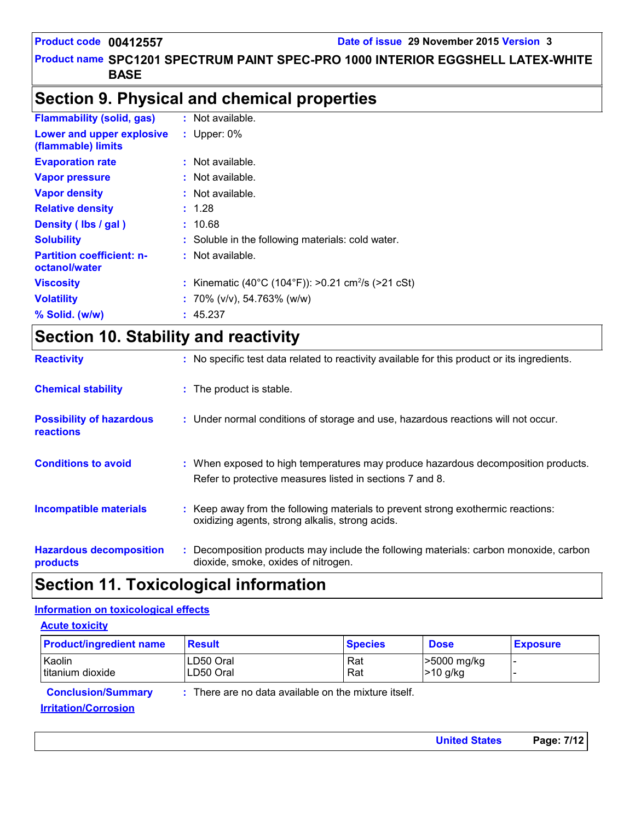#### Product name SPC1201 SPECTRUM PAINT SPEC-PRO 1000 INTERIOR EGGSHELL LATEX-WHITE | **BASE**

### **Section 9. Physical and chemical properties**

| <b>Flammability (solid, gas)</b>                  | : Not available.                                               |
|---------------------------------------------------|----------------------------------------------------------------|
| Lower and upper explosive<br>(flammable) limits   | : Upper: $0\%$                                                 |
| <b>Evaporation rate</b>                           | $:$ Not available.                                             |
| <b>Vapor pressure</b>                             | : Not available.                                               |
| <b>Vapor density</b>                              | $:$ Not available.                                             |
| <b>Relative density</b>                           | : 1.28                                                         |
| Density (Ibs / gal)                               | : 10.68                                                        |
| <b>Solubility</b>                                 | : Soluble in the following materials: cold water.              |
| <b>Partition coefficient: n-</b><br>octanol/water | $:$ Not available.                                             |
| <b>Viscosity</b>                                  | : Kinematic (40°C (104°F)): >0.21 cm <sup>2</sup> /s (>21 cSt) |
| <b>Volatility</b>                                 | : 70% ( $v/v$ ), 54.763% ( $w/w$ )                             |
| $%$ Solid. (w/w)                                  | : 45.237                                                       |
|                                                   |                                                                |

## **Section 10. Stability and reactivity**

| <b>Reactivity</b>                            | : No specific test data related to reactivity available for this product or its ingredients.                                                  |
|----------------------------------------------|-----------------------------------------------------------------------------------------------------------------------------------------------|
| <b>Chemical stability</b>                    | : The product is stable.                                                                                                                      |
| <b>Possibility of hazardous</b><br>reactions | : Under normal conditions of storage and use, hazardous reactions will not occur.                                                             |
| <b>Conditions to avoid</b>                   | : When exposed to high temperatures may produce hazardous decomposition products.<br>Refer to protective measures listed in sections 7 and 8. |
| <b>Incompatible materials</b>                | : Keep away from the following materials to prevent strong exothermic reactions:<br>oxidizing agents, strong alkalis, strong acids.           |
| <b>Hazardous decomposition</b><br>products   | : Decomposition products may include the following materials: carbon monoxide, carbon<br>dioxide, smoke, oxides of nitrogen.                  |

### **Section 11. Toxicological information**

#### **Information on toxicological effects**

| <b>Acute toxicity</b>          |                        |                                                      |                          |                 |
|--------------------------------|------------------------|------------------------------------------------------|--------------------------|-----------------|
| <b>Product/ingredient name</b> | <b>Result</b>          | <b>Species</b>                                       | <b>Dose</b>              | <b>Exposure</b> |
| Kaolin<br>titanium dioxide     | LD50 Oral<br>LD50 Oral | Rat<br>Rat                                           | 5000 mg/kg<br>$>10$ g/kg |                 |
| <b>Conclusion/Summary</b>      |                        | : There are no data available on the mixture itself. |                          |                 |
| <b>Irritation/Corrosion</b>    |                        |                                                      |                          |                 |

**United States Page: 7/12**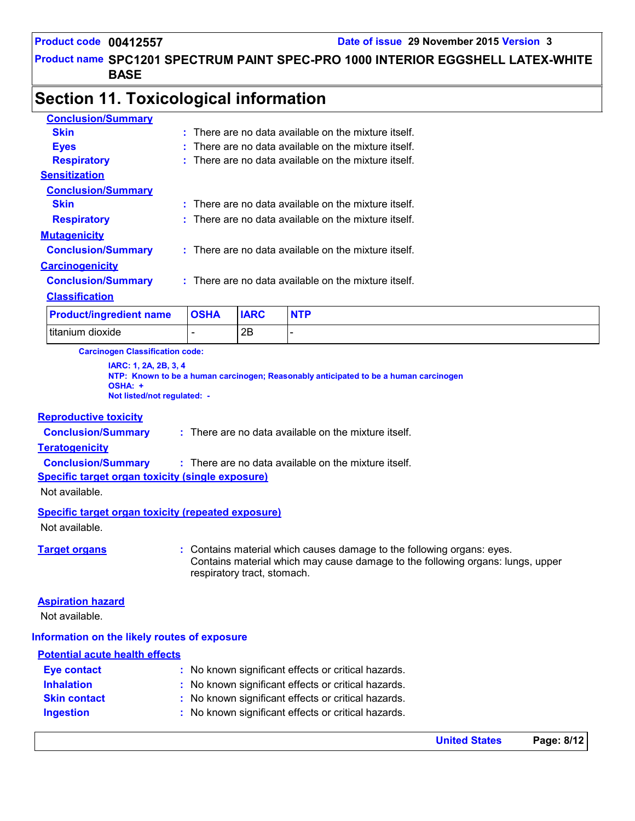Product name SPC1201 SPECTRUM PAINT SPEC-PRO 1000 INTERIOR EGGSHELL LATEX-WHITE | **BASE**

### **Section 11. Toxicological information**

| <b>Conclusion/Summary</b>              |                          |             |                                                        |
|----------------------------------------|--------------------------|-------------|--------------------------------------------------------|
| <b>Skin</b>                            |                          |             | $:$ There are no data available on the mixture itself. |
| <b>Eyes</b>                            |                          |             | There are no data available on the mixture itself.     |
| <b>Respiratory</b>                     |                          |             | $:$ There are no data available on the mixture itself. |
| <b>Sensitization</b>                   |                          |             |                                                        |
| <b>Conclusion/Summary</b>              |                          |             |                                                        |
| <b>Skin</b>                            |                          |             | $:$ There are no data available on the mixture itself. |
| <b>Respiratory</b>                     |                          |             | There are no data available on the mixture itself.     |
| <b>Mutagenicity</b>                    |                          |             |                                                        |
| <b>Conclusion/Summary</b>              |                          |             | $:$ There are no data available on the mixture itself. |
| <b>Carcinogenicity</b>                 |                          |             |                                                        |
| <b>Conclusion/Summary</b>              |                          |             | $:$ There are no data available on the mixture itself. |
| <b>Classification</b>                  |                          |             |                                                        |
| <b>Product/ingredient name</b>         | <b>OSHA</b>              | <b>IARC</b> | <b>NTP</b>                                             |
| titanium dioxide                       | $\overline{\phantom{0}}$ | 2Β          | -                                                      |
| <b>Carcinogen Classification code:</b> |                          |             |                                                        |

**Carcinogen Classification code:**

**IARC: 1, 2A, 2B, 3, 4 NTP: Known to be a human carcinogen; Reasonably anticipated to be a human carcinogen OSHA: + Not listed/not regulated: -**

#### **Reproductive toxicity**

**Conclusion/Summary :** There are no data available on the mixture itself.

#### **Teratogenicity**

**Conclusion/Summary :** There are no data available on the mixture itself.

#### **Specific target organ toxicity (single exposure)**

Not available.

#### **Specific target organ toxicity (repeated exposure)**

Not available.

**Target organs :** Contains material which causes damage to the following organs: eyes. Contains material which may cause damage to the following organs: lungs, upper respiratory tract, stomach.

#### **Aspiration hazard**

Not available.

#### **Information on the likely routes of exposure**

### **Potential acute health effects**

| <b>Eye contact</b>  | : No known significant effects or critical hazards. |
|---------------------|-----------------------------------------------------|
| <b>Inhalation</b>   | : No known significant effects or critical hazards. |
| <b>Skin contact</b> | : No known significant effects or critical hazards. |
| <b>Ingestion</b>    | : No known significant effects or critical hazards. |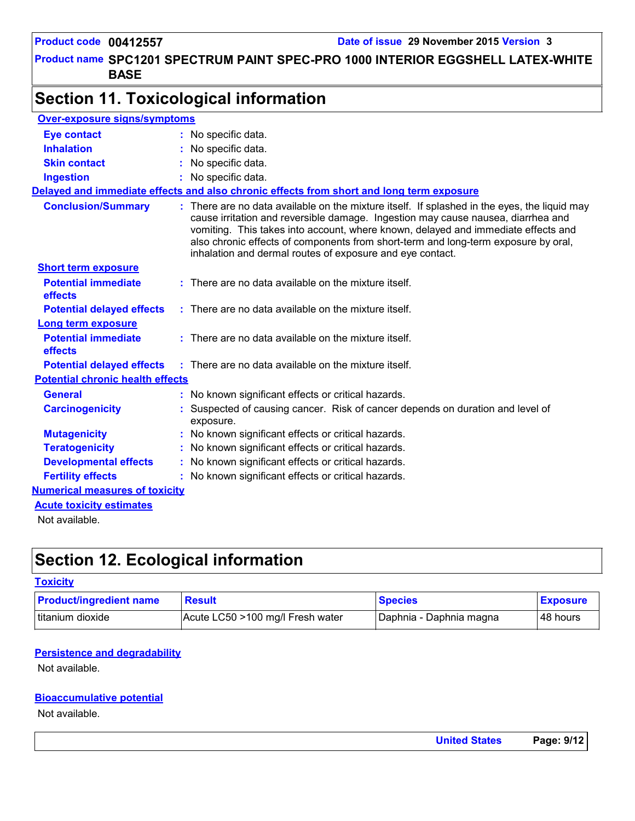#### Product name SPC1201 SPECTRUM PAINT SPEC-PRO 1000 INTERIOR EGGSHELL LATEX-WHITE | **BASE**

### **Section 11. Toxicological information**

| <b>Over-exposure signs/symptoms</b>     |                                                                                                                                                                                                                                                                                                                                                                                                                          |
|-----------------------------------------|--------------------------------------------------------------------------------------------------------------------------------------------------------------------------------------------------------------------------------------------------------------------------------------------------------------------------------------------------------------------------------------------------------------------------|
| <b>Eye contact</b>                      | : No specific data.                                                                                                                                                                                                                                                                                                                                                                                                      |
| <b>Inhalation</b>                       | No specific data.                                                                                                                                                                                                                                                                                                                                                                                                        |
| <b>Skin contact</b>                     | : No specific data.                                                                                                                                                                                                                                                                                                                                                                                                      |
| <b>Ingestion</b>                        | : No specific data.                                                                                                                                                                                                                                                                                                                                                                                                      |
|                                         | Delayed and immediate effects and also chronic effects from short and long term exposure                                                                                                                                                                                                                                                                                                                                 |
| <b>Conclusion/Summary</b>               | : There are no data available on the mixture itself. If splashed in the eyes, the liquid may<br>cause irritation and reversible damage. Ingestion may cause nausea, diarrhea and<br>vomiting. This takes into account, where known, delayed and immediate effects and<br>also chronic effects of components from short-term and long-term exposure by oral,<br>inhalation and dermal routes of exposure and eye contact. |
| <b>Short term exposure</b>              |                                                                                                                                                                                                                                                                                                                                                                                                                          |
| <b>Potential immediate</b><br>effects   | : There are no data available on the mixture itself.                                                                                                                                                                                                                                                                                                                                                                     |
| <b>Potential delayed effects</b>        | $:$ There are no data available on the mixture itself.                                                                                                                                                                                                                                                                                                                                                                   |
| Long term exposure                      |                                                                                                                                                                                                                                                                                                                                                                                                                          |
| <b>Potential immediate</b><br>effects   | $:$ There are no data available on the mixture itself.                                                                                                                                                                                                                                                                                                                                                                   |
| <b>Potential delayed effects</b>        | $\therefore$ There are no data available on the mixture itself.                                                                                                                                                                                                                                                                                                                                                          |
| <b>Potential chronic health effects</b> |                                                                                                                                                                                                                                                                                                                                                                                                                          |
| <b>General</b>                          | : No known significant effects or critical hazards.                                                                                                                                                                                                                                                                                                                                                                      |
| <b>Carcinogenicity</b>                  | Suspected of causing cancer. Risk of cancer depends on duration and level of<br>exposure.                                                                                                                                                                                                                                                                                                                                |
| <b>Mutagenicity</b>                     | No known significant effects or critical hazards.                                                                                                                                                                                                                                                                                                                                                                        |
| <b>Teratogenicity</b>                   | : No known significant effects or critical hazards.                                                                                                                                                                                                                                                                                                                                                                      |
| <b>Developmental effects</b>            | : No known significant effects or critical hazards.                                                                                                                                                                                                                                                                                                                                                                      |
| <b>Fertility effects</b>                | No known significant effects or critical hazards.                                                                                                                                                                                                                                                                                                                                                                        |
| <b>Numerical measures of toxicity</b>   |                                                                                                                                                                                                                                                                                                                                                                                                                          |
| <b>Acute toxicity estimates</b>         |                                                                                                                                                                                                                                                                                                                                                                                                                          |
| Not available.                          |                                                                                                                                                                                                                                                                                                                                                                                                                          |

### **Section 12. Ecological information**

#### **Toxicity**

| <b>Product/ingredient name</b> | <b>Result</b>                    | <b>Species</b>          | <b>Exposure</b> |
|--------------------------------|----------------------------------|-------------------------|-----------------|
| titanium dioxide               | Acute LC50 >100 mg/l Fresh water | Daphnia - Daphnia magna | 48 hours        |

#### **Persistence and degradability**

Not available.

#### **Bioaccumulative potential**

Not available.

| <b>United States</b> | Page: 9/12 |
|----------------------|------------|
|                      |            |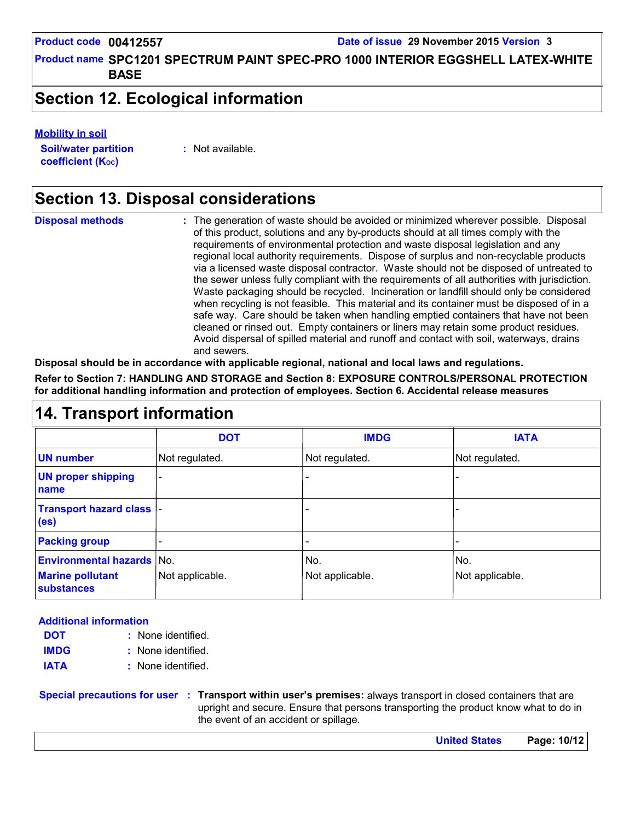Product name SPC1201 SPECTRUM PAINT SPEC-PRO 1000 INTERIOR EGGSHELL LATEX-WHITE | **BASE**

### **Section 12. Ecological information**

#### **Mobility in soil**

**Soil/water partition coefficient (Koc)** 

**:** Not available.

### **Section 13. Disposal considerations**

The generation of waste should be avoided or minimized wherever possible. Disposal of this product, solutions and any by-products should at all times comply with the requirements of environmental protection and waste disposal legislation and any regional local authority requirements. Dispose of surplus and non-recyclable products via a licensed waste disposal contractor. Waste should not be disposed of untreated to the sewer unless fully compliant with the requirements of all authorities with jurisdiction. Waste packaging should be recycled. Incineration or landfill should only be considered when recycling is not feasible. This material and its container must be disposed of in a safe way. Care should be taken when handling emptied containers that have not been cleaned or rinsed out. Empty containers or liners may retain some product residues. Avoid dispersal of spilled material and runoff and contact with soil, waterways, drains and sewers. **Disposal methods :**

**Disposal should be in accordance with applicable regional, national and local laws and regulations.**

**Refer to Section 7: HANDLING AND STORAGE and Section 8: EXPOSURE CONTROLS/PERSONAL PROTECTION for additional handling information and protection of employees. Section 6. Accidental release measures**

|  |  | <b>14. Transport information</b> |
|--|--|----------------------------------|
|--|--|----------------------------------|

|                                                       | <b>DOT</b>               | <b>IMDG</b>     | <b>IATA</b>     |
|-------------------------------------------------------|--------------------------|-----------------|-----------------|
| <b>UN number</b>                                      | Not regulated.           | Not regulated.  | Not regulated.  |
| <b>UN proper shipping</b><br>name                     | $\overline{\phantom{0}}$ |                 |                 |
| <b>Transport hazard class  -</b><br>(e <sub>s</sub> ) |                          |                 |                 |
| <b>Packing group</b>                                  |                          |                 |                 |
| <b>Environmental hazards No.</b>                      |                          | No.             | No.             |
| <b>Marine pollutant</b><br><b>substances</b>          | Not applicable.          | Not applicable. | Not applicable. |

#### **Additional information**

- None identified. **: DOT**
- None identified. **: IMDG**
- **IATA :** None identified.

**Special precautions for user Transport within user's premises:** always transport in closed containers that are **:** upright and secure. Ensure that persons transporting the product know what to do in the event of an accident or spillage.

**United States Page: 10/12**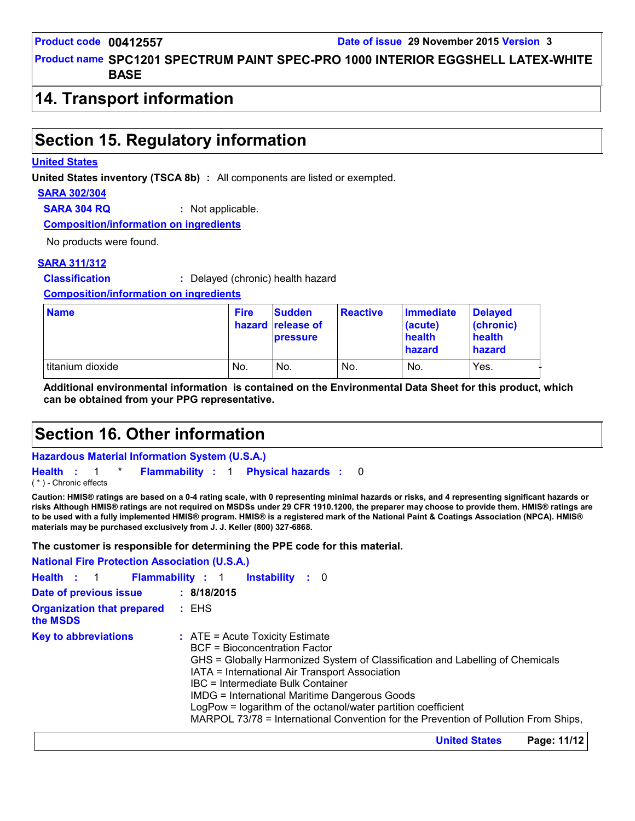Product name SPC1201 SPECTRUM PAINT SPEC-PRO 1000 INTERIOR EGGSHELL LATEX-WHITE | **BASE**

### **14. Transport information**

### **Section 15. Regulatory information**

#### **United States**

**United States inventory (TSCA 8b) :** All components are listed or exempted.

#### **SARA 302/304**

**SARA 304 RQ :** Not applicable.

**Composition/information on ingredients**

No products were found.

#### **SARA 311/312**

**Classification :** Delayed (chronic) health hazard

**Composition/information on ingredients**

| <b>Name</b>      | <b>Fire</b> | <b>Sudden</b><br>hazard release of<br><b>pressure</b> | <b>Reactive</b> | Immediate<br>(acute)<br>health<br>hazard | <b>Delaved</b><br>(chronic)<br>health<br><b>hazard</b> |
|------------------|-------------|-------------------------------------------------------|-----------------|------------------------------------------|--------------------------------------------------------|
| titanium dioxide | No.         | No.                                                   | No.             | No.                                      | Yes.                                                   |

**Additional environmental information is contained on the Environmental Data Sheet for this product, which can be obtained from your PPG representative.**

### **Section 16. Other information**

**Hazardous Material Information System (U.S.A.)**

```
Health : 1 * Flammability : 1 Physical hazards : 0
                                     0
```
( \* ) - Chronic effects

**Caution: HMIS® ratings are based on a 0-4 rating scale, with 0 representing minimal hazards or risks, and 4 representing significant hazards or risks Although HMIS® ratings are not required on MSDSs under 29 CFR 1910.1200, the preparer may choose to provide them. HMIS® ratings are to be used with a fully implemented HMIS® program. HMIS® is a registered mark of the National Paint & Coatings Association (NPCA). HMIS® materials may be purchased exclusively from J. J. Keller (800) 327-6868.**

**The customer is responsible for determining the PPE code for this material.**

| <b>National Fire Protection Association (U.S.A.)</b> |                                                                                                                                                                                                                                                                                                                                                                                                                                                                            |
|------------------------------------------------------|----------------------------------------------------------------------------------------------------------------------------------------------------------------------------------------------------------------------------------------------------------------------------------------------------------------------------------------------------------------------------------------------------------------------------------------------------------------------------|
| Health : 1                                           | <b>Flammability</b> : 1<br><b>Instability</b> : 0                                                                                                                                                                                                                                                                                                                                                                                                                          |
| Date of previous issue                               | : 8/18/2015                                                                                                                                                                                                                                                                                                                                                                                                                                                                |
| <b>Organization that prepared</b><br>the MSDS        | : EHS                                                                                                                                                                                                                                                                                                                                                                                                                                                                      |
| <b>Key to abbreviations</b>                          | $\therefore$ ATE = Acute Toxicity Estimate<br><b>BCF</b> = Bioconcentration Factor<br>GHS = Globally Harmonized System of Classification and Labelling of Chemicals<br>IATA = International Air Transport Association<br>IBC = Intermediate Bulk Container<br><b>IMDG = International Maritime Dangerous Goods</b><br>LogPow = logarithm of the octanol/water partition coefficient<br>MARPOL 73/78 = International Convention for the Prevention of Pollution From Ships, |

**United States Page: 11/12**